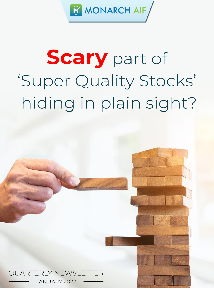

# **Scary part of** 'Super Quality Stocks' hiding in plain sight?



JANUARY 2022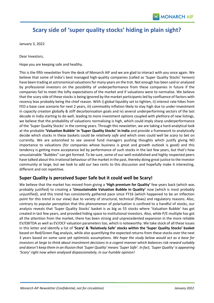# **Scary side of 'super quality stocks' hiding in plain sight?**

January 3, 2022

Dear Investors,

Hope you are keeping safe and healthy.

This is the fifth newsletter from the desk of Monarch AIF and we are glad to interact with you once again. We believe that some of India's best managed high-quality companies (called as 'Super Quality Stocks' hereon) have been trading at astronomical valuations for many years on the trot. Not enough has been said or analysed by professional investors on the possibility of underperformance from these companies in future if the companies fail to meet the lofty expectations of the market and if valuations were to normalise. We believe that the scary side of these stocks is being ignored by the market participants led by confluence of factors with recency bias probably being the chief reason. With i) global liquidity set to tighten, ii) interest rate hikes from FED a base case scenario for next 2 years, iii) commodity inflation likely to stay high due to under-investment in capacity creation globally & stiff decarbonisation goals and iv) several underperforming sectors of the last decade in India starting to do well, leading to more investment options coupled with plethora of new listings, we believe that the probability of valuations normalising is high, which could imply sharp underperformance of the 'Super Quality Stocks' in the coming years. Through this newsletter, we are taking a hard-analytical look at the probable **'Valuation Bubble' in 'Super Quality Stocks' in India** and provide a framework to analytically decide which stocks in these baskets could be *relatively safe* and which ones could well be *scary* to bet on currently. We are astonished to see several fund managers pushing thoughts which justify giving NO importance to valuations (for companies whose business is great and growth outlook is good) and this tendency is getting more acceptance led by performance of such stocks in the last few years, but that's how unsustainable "Bubbles" can get formed. To be sure, some of our well-established and highly respected peers have talked about this irrational behaviour of the market in the past, thereby doing great justice to the investor community at large, but we look to add our two cents to this discussion and hopefully make it interesting, different and not repetitive.

## **Super Quality is perceived Super Safe but it could well be Scary!**

We believe that the market has moved from giving a **'High premium for Quality'** few years back (which was probably justified) to creating a **'Unsustainable Valuation Bubble in Quality'** now (which is most probably unjustified), and this trend has consistently gathered pace since FY16 (which happened to be an inflection point for this trend in our view) due to variety of structural, technical (flows) and regulatory reasons. Also, contrary to popular perception that this phenomenon of polarisation is confined to a handful of stocks, our analysis reveals that 'Super Quality Stocks' basket is as big as 55 stocks where 'Valuation Bubble' has got created in last few years, and provided hiding space to institutional investors. Also, while P/E multiple has got all the attention from the market, there has been strong and unprecedented expansion in the more reliable EV/EBITDA as well as EV/OCF valuation parameters too, which is noteworthy. We take stock of all these issues in this letter and identify a list of **'Scary' & 'Relatively Safe' stocks within the 'Super Quality Stocks' basket** based on Red/Green flag analysis, while also quantifying the expected returns from these stocks over the next 3 years based on some sane yet optimistic assumptions. *We hope the study below would act as a base for investors at large to think about investment decisions in a cogent manner which balances risk-reward suitably and doesn't keep them in an illusion that 'Super Quality' means 'Super Safe'. In fact, 'Super Quality' is appearing 'Scary' right now when analysed dispassionately, in our humble opinion!*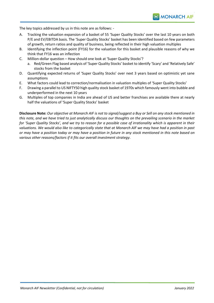The key topics addressed by us in this note are as follows: -

- A. Tracking the valuation expansion of a basket of 55 'Super Quality Stocks' over the last 10 years on both P/E and EV/EBITDA basis. The 'Super Quality Stocks' basket has been identified based on few parameters of growth, return ratios and quality of business, being reflected in their high valuation multiples
- B. Identifying the inflection point (FY16) for the valuation for this basket and plausible reasons of why we think that FY16 was an inflection
- C. Million-dollar question How should one look at 'Super Quality Stocks'?
	- a. Red/Green Flag based analysis of 'Super Quality Stocks' basket to identify 'Scary' and 'Relatively Safe' stocks from the basket
- D. Quantifying expected returns of 'Super Quality Stocks' over next 3 years based on optimistic yet sane assumptions
- E. What factors could lead to correction/normalisation in valuation multiples of 'Super Quality Stocks'
- F. Drawing a parallel to US NIFTY50 high quality stock basket of 1970s which famously went into bubble and underperformed in the next 10 years
- G. Multiples of top companies in India are ahead of US and better franchises are available there at nearly half the valuations of 'Super Quality Stocks' basket

**Disclosure Note:** *Our objective at Monarch AIF is not to signal/suggest a Buy or Sell on any stock mentioned in this note, and we have tried to just analytically discuss our thoughts on the prevailing scenario in the market for 'Super Quality Stocks', and we try to reason for a possible case of irrationality which is apparent in their valuations. We would also like to categorically state that at Monarch AIF we may have had a position in past or may have a position today or may have a position in future in any stock mentioned in this note based on various other reasons/factors if it fits our overall investment strategy*.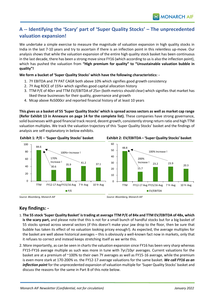# **A -- Identifying the 'Scary' part of 'Super Quality Stocks' – The unprecedented valuation expansion!**

We undertake a simple exercise to measure the magnitude of valuation expansion in high quality stocks in India in the last 7-10 years and try to ascertain if there is an inflection point in this relentless up-move. Our analysis shows that while the valuation expansion of the entire high quality stock basket has been continuous in the last decade, there has been a strong move since FY16 (which according to us is also the inflection point), which has pushed the valuation from **"High premium for quality" to "Unsustainable valuation bubble in quality"!**

### **We form a bucket of 'Super Quality Stocks' which have the following characteristics: -**

- 1. 7Y EBITDA and 7Y PAT CAGR both above 10% which signifies good growth consistency
- 2. 7Y Avg ROCE of 15%+ which signifies good capital allocation history
- 3. TTM P/E of 40x+ and TTM EV/EBITDA of 25x+ (both metrics should clear) which signifies that market has liked these businesses for their quality, governance and growth
- 4. Mcap above Rs5000cr and reported financial history of at least 10 years

**This gives us a basket of 55 'Super Quality Stocks' which is spread across sectors as well as market cap range (Refer Exhibit 13 in Annexure on page 14 for the complete list).** These companies have strong governance, solid businesses with good financial track record, decent growth, consistently strong return ratio and high TTM valuation multiples. We track the valuation trajectory of this 'Super Quality Stocks' basket and the findings of analysis are self-explanatory in below exhibits.



**Exhibit 1: P/E – 'Super Quality Stocks' basket Exhibit 2: EV/EBITDA – 'Super Quality Stocks' basket**



*Source: Bloomberg, Monarch AIF Source: Bloomberg, Monarch AIF*

## **Key findings: -**

- 1. **The 55 stock 'Super Quality Basket' is trading at average TTM P/E of 84x and TTM EV/EBITDA of 48x, which is the scary part,** and please note that this is not for a small bunch of handful stocks but for a big basket of 55 stocks spread across several sectors (if this doesn't make your jaw drop to the floor, then be sure that bubble has taken its effect of no valuation looking pricey enough!). As expected, the average multiples for the basket are well above historical averages – this is obviously a well-known fact now in markets, only that it refuses to correct and instead keeps stretching itself as we write this.
- 2. More importantly, as can be seen in charts the valuation expansion since FY16 has been very sharp whereas FY15-FY16 average multiple as such was more in tune with 7yr/10yr averages. Current valuations for the basket are at a premium of ~100% to their own 7Y averages as well as FY15-16 average, while the premium is even more stark at 170-200% vs. the FY12-17 average valuations for the same basket. *We call FY16 as an inflection point* for the unprecedented expansion of valuation multiple for 'Super Quality Stocks' basket and discuss the reasons for the same in Part B of this note below.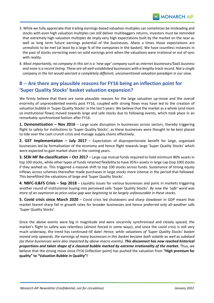- 3. While we fully appreciate that trailing earnings-based valuation multiples can sometimes be misleading and stocks with even high valuation multiples can still deliver multibaggers returns, investors must be reminded that extremely high valuation multiples do imply very high expectations built by the market on the near as well as long term future earnings potential of the businesses. Many a times those expectations are unrealistic to be met (at least by a large % of the companies in the basket). We have countless instances in the past of stocks correcting even on solid earnings print when the valuations were irrational or out of sync with reality.
- 4. *Most importantly, no company in this set is a 'new-age' company such as internet businesses/SaaS business and none is a recent listing. These are all well-established businesses with a lengthy track record. Not a single company in the list would warrant a completely different, unconventional valuation paradigm in our view.*

## **B -- Are there any plausible reasons for FY16 being an inflection point for 'Super Quality Stocks' basket valuation expansion?**

We firmly believe that there are some plausible reasons for the large valuation up-move and the overall enormity of unprecedented events post FY16, coupled with strong flows may have led to the creation of valuation bubble in 'Super Quality Stocks' in the last 5 years. We believe that the market as a whole (and more so institutional flows) moved towards large and safe stocks due to following events, which took place in an remarkably synchronised fashion after FY16:

**1. Demonetisation – Nov 2016** – Large scale disruption in businesses across sectors, thereby triggering flight to safety for institutions to 'Super Quality Stocks', as these businesses were thought to be best placed to tide over the cash crunch crisis and manage supply chains effectively.

**2. GST Implementation – July 2017** – Expectation of disproportionate benefit for large, organised businesses led by formalisation of the economy and hence flight towards large 'Super Quality Stocks' which were expected to gain market share in the coming years.

**3. SEBI MF Re-classification – Oct 2017** – Large cap mutual funds required to hold minimum 80% assets in top 100 stocks, while other types of funds retained flexibility to have 35%+ assets in large cap (top 100) stocks if they wished so. This triggered a massive shift to top 100 stocks across funds. Sustenance of strong equity inflows across schemes thereafter made purchases in large stocks more intense in the period that followed. This benefitted the valuations of large and 'Super Quality Stocks'.

**4. NBFC-IL&FS Crisis – Sep 2018** – Liquidity issues for various businesses and panic in markets triggering another round of institutional buying into perceived safe 'Super Quality Stocks'. *By now the 'safe' word was more of an oxymoron as price-value gap was beginning to be largely unfavourable in these stocks.*

**5. Covid crisis since March 2020** – Covid crisis led shutdowns and sharp slowdown in GDP meant that market feared sharp fall in growth rates for broader businesses and hence preferred only all-weather safe 'Super Quality Stocks'.

Since the above events were big in magnitude and were uncannily synchronised and closely spaced, the market's flight to safety was relentless (almost forced in some ways), and since the covid crisis is still very much underway, the trend has continued till date! *Hence, while valuations of 'Super Quality Stocks' basket moved only upwards, the earnings of many businesses in this basket became both volatile as well as subdued (as these businesses were also impacted by above macro events). This disconnect has now reached historical proportions and taken shape of a classical bubble marked by extreme irrationality of the market.* Thus, we believe that the strong move since FY16 (inflection point) has pushed the valuation from **"High premium for quality" to "Valuation Bubble in Quality"!**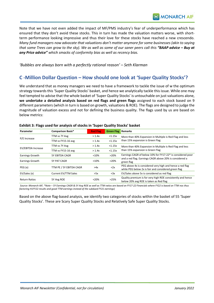Note that we have not even added the impact of MF/PMS industry's fear of underperformance which has ensured that they don't avoid these stocks. This in turn has made the valuation matters worse, with shortterm performance looking impressive and thus their love for these stocks have reached a new crescendo. *Many fund managers now advocate that valuations don't matter anymore for some businesses (akin to saying that some Trees can grow to the sky). We as well as some of our saner peers call this "BAAP advice – Buy at any Price advice" which smacks of conformity bias as well as recency bias.*

*'Bubbles are always born with a perfectly rational reason' – Seth Klarman*

## **C -Million Dollar Question – How should one look at 'Super Quality Stocks'?**

We understand that as money managers we need to have a framework to tackle the issue of w the optimum strategy towards this 'Super Quality Stocks' basket, and hence we analytically tackle this issue. While one may feel tempted to advise that the whole basket of 'Super Quality Stocks' is untouchable on just valuations alone, **we undertake a detailed analysis based on red flags and green flags** assigned to each stock based on 9 different parameters (which in turn is based on growth, valuations & ROE). The flags are designed to judge the magnitude of valuation excess and not for defining the business quality. The flags used by us are based on below metrics:

| Parameter                 | <b>Comparison Basis*</b> | <b>Red Flag</b> | <b>Green Flag</b> | Remarks                                                                                                           |
|---------------------------|--------------------------|-----------------|-------------------|-------------------------------------------------------------------------------------------------------------------|
|                           | TTM vs 7Y Avg            | > 1.4x          | < 1.15x           | More than 40% Expansion in Multiple is Red Flag and less                                                          |
| P/E Increase              | TTM vs FY15-16 avg       | > 1.4x          | $<$ 1.15 $\times$ | than 15% expansion is Green Flag                                                                                  |
| <b>EV/EBITDA Increase</b> | TTM vs 7Y Avg            | > 1.4x          | $<$ 1.15 $\times$ | More than 40% Expansion in Multiple is Red Flag and less                                                          |
|                           | TTM vs FY15-16 avg       | > 1.4x          | $<$ 1.15 $\times$ | than 15% expansion is Green Flag                                                                                  |
| <b>Earnings Growth</b>    | <b>5Y EBITDA CAGR</b>    | < 10%           | >20%              | Earnings CAGR of below 10% for FY17-22* is considered poor                                                        |
| <b>Earnings Growth</b>    | 5Y PAT CAGR              | < 10%           | >20%              | and a red flag. Earnings CAGR above 20% is considered a<br>green flag                                             |
| PEG(x)                    | TTM PE / 5Y EBITDA CAGR  | >4x             | < 2x              | PEG above 4x is considered very high and hence a red flag<br>while PEG below 2x is fair and considered green flag |
| EV/Sales (x)              | Current EV/TTM Sales     | >5x             | $3x$              | EV/Sales above 5x is considered as red flag                                                                       |
| <b>Return Ratios</b>      | 5Y Avg ROE               | $<20\%$         | >25%              | Quality premium is for very high ROE consistently and hence<br>below 20% avg ROE is taken as Red flag             |

#### **Exhibit 3: Flags used for analysis of stocks in 'Super Quality Stocks' basket**

*Source: Monarch AIF, \*Note – 5Y Earnings CAGR & 5Y Avg ROE as well as TTM ratios are based on FY17-22 Financials where FY22 is based on TTM nos thus factoring H1FY22 results and good TTM earnings instead of the subdued FY21 earnings)*

Based on the above flag-based analysis, we identify two categories of stocks within the basket of 55 'Super Quality Stocks'. These are Scary Super Quality Stocks and Relatively Safe Super Quality Stocks.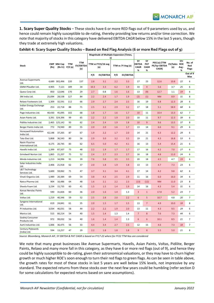**1. Scary Super Quality Stocks** – These stocks have 6 or more RED flags out of 9 parameters used by us, and hence could remain highly susceptible to de-rating, thereby providing low returns and/or time correction. We note that majority of stocks in this category have delivered EBITDA CAGR below 15% in the last 5 years, though they trade at extremely high valuations.

|                                      |        |               |                           | <b>TTM</b><br>EV/EBITDA<br>(x) | <b>Magnitude of Multiple Expansion (Times,</b><br>x) |                  |     |                   |                                  |                                      |                                        |                     |                   |                               |
|--------------------------------------|--------|---------------|---------------------------|--------------------------------|------------------------------------------------------|------------------|-----|-------------------|----------------------------------|--------------------------------------|----------------------------------------|---------------------|-------------------|-------------------------------|
| Stock                                | (Rs)   | CMP Mkt Cap   | TTM<br>$(Rs Cr)$ $P/E(x)$ |                                | TTM vs FY15/16 avg<br>(x)                            |                  |     | TTM vs 7Y Avg (x) | <b>5Y</b><br>EBITDA<br>CAGR<br>% | <b>5Y</b><br>PAT<br><b>CAGR</b><br>% | PEG (x) (TTM<br>PE/5yr EBITDA<br>CAGR) | EV/Sales ROE<br>(x) | 5Yr<br>Avg -<br>% | No. of<br>Red<br><b>Flags</b> |
|                                      |        |               |                           |                                | P/E                                                  | <b>EV/EBITDA</b> | P/E | <b>EV/EBITDA</b>  |                                  |                                      |                                        |                     |                   | Out of 9<br>Max               |
| <b>Avenue Supermarts</b><br>Ltd.     |        | 4,689 302,496 | 220                       | 137                            | 2.8                                                  | 3.1              | 2.2 | 3.3               | 17                               | 23                                   | 12.6                                   | 10.8                | 22                | 6                             |
| GMM Pfaudler Ltd.                    | 4,905  | 7,121         | 189                       | 34                             | 10.3                                                 | 3.3              | 6.2 | 1.9               | 33                               | $\overline{4}$                       | 5.6                                    | 3.7                 | 25                | 6                             |
| Quess Corp Ltd.                      | 850    | 12,646        | 170                       | 29                             | 2.7                                                  | 0.8              | 1.6 | 1.6               | 13                               | (9)                                  | 12.7                                   | 1.1                 | 19                | 6                             |
| 3M India Ltd.                        | 25,094 | 28,538        | 127                       | 84                             | 2.2                                                  | 2.4              | 1.7 | 1.9               | (2)                              | (1)                                  | <b>NM</b>                              | 8.9                 | 31                | 8                             |
| Relaxo Footwears Ltd.                | 1,309  | 32,591        | 112                       | 66                             | 2.9                                                  | 2.7              | 2.4 | 2.5               | 16                               | 19                                   | 6.8                                    | 12.3                | 28                | 6                             |
| Indian Energy Exchange<br>Ltd.       | 253    | 22,718        | 88                        | 71                             | 2.5                                                  | 3.1              | 2.9 | 3.2               | 17                               | 18                                   | 5.1                                    | 58.9                | 68                | 6                             |
| Page Industries Ltd.                 | 40,430 | 45,095        | 102                       | 68                             | 1.8                                                  | 1.7              | 1.6 | 1.7               | 10                               | 11                                   | 10.4                                   | 13.3                | 62                | $\overline{7}$                |
| Asian Paints Ltd.                    | 3,391  | 324,396       | 99                        | 65                             | 2.2                                                  | 2.2              | 1.9 | 2.0               | 10                               | 11                                   | 9.7                                    | 12.3                | 39                | 6                             |
| Pidilite Industries Ltd.             | 2,465  | 125,142       | 93                        | 62                             | 2.4                                                  | 2.4              | 1.9 | 1.8               | 10                               | 9                                    | 9.6                                    | 13.5                | 37                | 8                             |
| Berger Paints India Ltd.             | 772    | 74,940        | 89                        | 55                             | 2.0                                                  | 2.0              | 1.6 | 1.7               | 13                               | 14                                   | 6.6                                    | 9.1                 | 29                | 6                             |
| Honeywell Automation<br>India Ltd.   | 42,148 | 37,265        | 87                        | 67                             | 1.9                                                  | 2.2              | 1.7 | 2.0               | 14                               | 21                                   | 6.3                                    | 12.2                | 29                | 6                             |
| Tata Elxsi Ltd.                      | 5,868  | 36,543        | 80                        | 56                             | 2.9                                                  | 3.0              | 3.2 | 3.5               | 19                               | 21                                   | 4.3                                    | 16.8                | 53                | 6                             |
| Navin Fluorine<br>International Ltd. | 4,175  | 20,745        | 83                        | 62                             | 6.5                                                  | 5.0              | 4.2 | 4.1               | 16                               | 13                                   | 5.4                                    | 15.4                | 21                | 6                             |
| Havells India Ltd.                   | 1,399  | 87,507        | 73                        | 48                             | 2.2                                                  | 1.9              | 1.7 | 1.7               | 17                               | 16                                   | 4.2                                    | 7.0                 | 27                | 6                             |
| Grindwell Norton Ltd.                | 1,865  | 21,207        | 75                        | 52                             | 2.4                                                  | 2.7              | 2.3 | 2.7               | 16                               | 18                                   | 4.8                                    | 11.0                | 24                | 6                             |
| Minda Industries Ltd.                | 1,213  | 34,996        | 91                        | 39                             | 7.6                                                  | 5.8              | 3.5 | 3.5               | 20                               | 18                                   | 4.5                                    | 4.7                 | 19                | 6                             |
| Solar Industries India<br>Ltd.       | 2,406  | 21,918        | 62                        | 37                             | 2.0                                                  | 1.8              | 1.9 | 1.8               | 13                               | 13                                   | 4.7                                    | 7.3                 | 23                | 6                             |
| L&T Technology<br>Services Ltd.      | 5,600  | 59,062        | 71                        | 47                             | 3.7                                                  | 3.1              | 3.4 | 4.1               | 17                               | 14                                   | 4.2                                    | 9.8                 | 62                | 6                             |
| Vinati Organics Ltd.                 | 1,989  | 20,384        | 69                        | 54                             | 3.8                                                  | 4.3              | 2.5 | 2.9               | 11                               | 16                                   | 6.0                                    | 16.0                | 34                | 6                             |
| Natco Pharma Ltd.                    | 904    | 16,486        | 64                        | 48                             | 1.6                                                  | 2.1              | 2.2 | 2.3               | (13)                             | (12)                                 | <b>NM</b>                              | 11.0                | 23                | 8                             |
| Sheela Foam Ltd.                     | 3,234  | 15,735        | 60                        | 41                             | 1.5                                                  | 1.5              | 1.4 | 1.9               | 14                               | 16                                   | 4.3                                    | 5.4                 | 31                | 6                             |
| Kansai Nerolac Paints<br>Ltd.        | 590    | 31,826        | 60                        | 36                             | 2.0                                                  | 1.6              | 1.4 | 1.3               | 3                                | $\mathbf{1}$                         | 17.8                                   | 5.2                 | 23                | $\overline{7}$                |
| Voltas Ltd.                          | 1,219  | 40,346        | 59                        | 52                             | 2.5                                                  | 2.8              | 2.0 | 2.2               | 6                                | 5                                    | 10.7                                   | 4.8                 | 20                | 7                             |
| Syngene International<br>Ltd.        | 619    | 24,841        | 61                        | 35                             | 2.0                                                  | 1.5              | 1.7 | 1.5               | 13                               | $\overline{7}$                       | 4.9                                    | 10.0                | 18                | 8                             |
| PI Industries Ltd.                   | 3,034  | 46,031        | 58                        | 44                             | 2.2                                                  | 2.2              | 1.9 | 2.0               | 13                               | 11                                   | 4.3                                    | 9.5                 | 29                | 6                             |
| Marico Ltd.                          | 515    | 66,214        | 54                        | 40                             | 1.5                                                  | 1.4              | 1.3 | 1.4               | $\overline{7}$                   | 8                                    | 7.6                                    | 7.3                 | 44                | 6                             |
| Godrej Consumer<br>Products Ltd.     | 972    | 99,032        | 56                        | 40                             | 1.6                                                  | 1.4              | 1.4 | 1.3               | 6                                | $\boldsymbol{6}$                     | 10.1                                   | 8.5                 | 21                | $\overline{7}$                |
| Aarti Industries Ltd.                | 1,006  | 36,475        | 56                        | 33                             | 4.4                                                  | 3.4              | 2.7 | 2.5               | 12                               | 15                                   | 4.6                                    | 7.3                 | 18                | $\overline{7}$                |
| Century Plyboards<br>(India) Ltd.    | 594    | 13,257        | 47                        | 29                             | 2.2                                                  | 1.8              | 1.8 | 1.8               | 9                                | 8                                    | 5.5                                    | 5.0                 | 21                | 8                             |

**Exhibit 4: Scary Super Quality Stocks – Based on Red Flag Analysis (6 or more Red Flags out of 9)**

*Source: Bloomberg, Monarch AIF, 5Y EBITDA & PAT CAGR is based on FY17-22 where for FY22 TTM Nos are considered*

We note that many great businesses like Avenue Supermarts, Havells, Asian Paints, Voltas, Pidilite, Berger Paints, Relaxo and many more fall in this category, as they have 6 or more red flags (out of 9), and hence they could be highly susceptible to de-rating, given their astronomical valuations, or they may have to churn higher growth or much higher ROE's soon enough to turn their red flags to green flags. As can be seen in table above, the growth rates for most of these stocks in last 5 years are well below 15% levels, not impressive by any standard. The expected returns from these stocks over the next few years could be humbling (refer section D for some calculations for expected returns based on sane assumptions).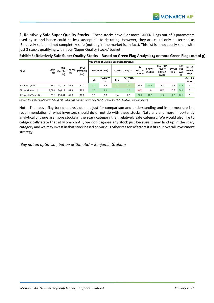**MONARCH AIF** 

**2. Relatively Safe Super Quality Stocks** – These stocks have 5 or more GREEN Flags out of 9 parameters used by us and hence could be less susceptible to de-rating. However, they are could only be termed as 'Relatively safe' and not completely safe (nothing in the market is, in fact). This list is innocuously small with just 3 stocks qualifying within our 'Super Quality Stocks' basket.

|                       |                    |                       |                | TTM<br>EV/EBITD<br>A(x) |                 | Magnitude of Multiple Expansion (Times, x) |                   |               |                                     |                  |                                              |                 |                               |                                 |
|-----------------------|--------------------|-----------------------|----------------|-------------------------|-----------------|--------------------------------------------|-------------------|---------------|-------------------------------------|------------------|----------------------------------------------|-----------------|-------------------------------|---------------------------------|
| <b>Stock</b>          | <b>CMP</b><br>(Rs) | Mkt<br>Cap (Rs<br>Cr) | TTM P/E<br>(x) |                         | TTM vs FY16 (x) |                                            | TTM vs 7Y Avg (x) |               | 5Υ<br><b>EBITDA</b><br><b>CAGR%</b> | 5Y PAT<br>CAGR % | PEG (TTM<br>PE/5yr<br><b>EBITDA</b><br>CAGR) | EV/Sal<br>es(x) | 5Yr<br><b>ROE</b><br>Avg<br>% | No. of<br>Green<br><b>Flags</b> |
|                       |                    |                       |                |                         | P/E             | EV/EBITD<br>A                              | P/E               | EV/EBITD<br>А |                                     |                  |                                              |                 |                               | Out of 9<br>Max                 |
| TTK Prestige Ltd.     | 987                | 13,719                | 44.3           | 32.4                    | 1.0             | 1.2                                        | 1.1               | 1.1           | 13.9                                | 15.1             | 3.2                                          | 5.2             | 22.8                          | 5                               |
| Eicher Motors Ltd.    | 2,588              | 70,812                | 44.3           | 29.1                    | 1.0             | 1.1                                        | 1.1               | 1.1           | (0.3)                               | 1.0              | <b>NM</b>                                    | 6.3             | 38.9                          | 5                               |
| APL Apollo Tubes Ltd. | 992                | 25,004                | 41.8           | 28.1                    | 3.8             | 3.7                                        | 2.4               | 2.9           | 22.4                                | 31.5             | 1.9                                          | 2.5             | 22.1                          | 5                               |

**Exhibit 5: Relatively Safe Super Quality Stocks – Based on Green Flag Analysis (5 or more Green Flags out of 9)**

*Source: Bloomberg, Monarch AIF, 5Y EBITDA & PAT CAGR is based on FY17-22 where for FY22 TTM Nos are considered*

Note: The above flag-based analysis done is just for comparison and understanding and in no measure is a recommendation of what investors should do or not do with these stocks. Naturally and more importantly analytically, there are more stocks in the scary category than relatively safe category. We would also like to categorically state that at Monarch AIF, we don't ignore any stock just because it may land up in the scary category and we may invest in that stock based on various other reasons/factors if it fits our overall investment strategy.

*'Buy not on optimism, but on arithmetic' – Benjamin Graham*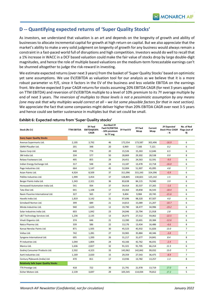## **D -- Quantifying expected returns of 'Super Quality Stocks'**

As investors, we understand that valuation is an art and depends on the longevity of growth and ability of businesses to allocate incremental capital for growth at high return on capital. But we also appreciate that the market's ability to make a very solid judgment on longevity of growth for any business would always remain a constraint in a fast-paced world full of disruptions and high competition. Investors would do well to recall that a 1% increase in WACC in a DCF based valuation could make the fair value of stocks drop by large double-digit magnitudes, and hence the role of multiple based valuations on the medium-term forecastable earnings can't be shunned altogether to judge the risk-reward in investing.

We estimate expected returns (over next 3 years) from the basket of 'Super Quality Stocks' based on optimistic yet sane assumptions. We use EV/EBITDA as valuation tool for our analysis as we believe that it is a more robust parameter vs P/E, since it factors in the EV of the business and less volatile EBITDA on the earnings front. We derive expected 3 year CAGR returns for stocks assuming 20% EBITDA CAGR (for next 3 years applied on TTM EBITDA) and reversion of EV/EBITDA multiple to a level of 10% premium to its 7Y average multiple by end of next 3 years. *The reversion of multiples to those levels is not a pessimistic assumption by any means (one may ask that why multiples would correct at all – we list some plausible factors for that in next section).* We appreciate the fact that some companies might deliver higher than 20% EBITDA CAGR over next 3-5 years and hence could see better sustenance in multiples but that set could be small.

| Stock (Rs Cr)                               | TTM EBITDA | 3Y Fwd<br>EBITDA@20%<br>CAGR | Fwd EV/EBITDA<br>- 10% premium<br>to 7Y avg | 3Y Fwd EV | 3Y Fwd<br>Mcap | Current<br>Mcap | <b>3Y Expected</b><br><b>Stock Price CAGR</b><br>- % | No. of Red<br>Flags (out of<br>9) |
|---------------------------------------------|------------|------------------------------|---------------------------------------------|-----------|----------------|-----------------|------------------------------------------------------|-----------------------------------|
| <b>Scary Super Quality Stocks</b>           |            |                              |                                             |           |                |                 |                                                      |                                   |
| Avenue Supermarts Ltd.                      | 2,195      | 3,792                        | 46                                          | 172,554   | 173,587        | 302,496         | $-16.9$                                              | 6                                 |
| GMM Pfaudler Ltd.                           | 201        | 348                          | 20                                          | 6,969     | 7,166          | 7,121           | 0.2                                                  | 6                                 |
| Quess Corp Ltd.                             | 448        | 774                          | 20                                          | 15,526    | 15,263         | 12,646          | 6.5                                                  | 6                                 |
| 3M India Ltd.                               | 334        | 577                          | 50                                          | 28,869    | 29,302         | 28,538          | 0.9                                                  | 8                                 |
| Relaxo Footwears Ltd.                       | 495        | 855                          | 29                                          | 24,451    | 24,563         | 32,591          | $-9.0$                                               | 6                                 |
| Indian Energy Exchange Ltd.                 | 317        | 548                          | 24                                          | 13,187    | 13,478         | 22,718          | $-16.0$                                              | 6                                 |
| Page Industries Ltd.                        | 664        | 1,147                        | 45                                          | 52,004    | 51,907         | 45,095          | 4.8                                                  | $\overline{7}$                    |
| Asian Paints Ltd.                           | 4,924      | 8,509                        | 37                                          | 311,096   | 315,243        | 324,396         | $-0.9$                                               | 6                                 |
| Pidilite Industries Ltd.                    | 1,999      | 3,454                        | 37                                          | 128,805   | 130,821        | 125,142         | $1.5\,$                                              | 8                                 |
| Berger Paints India Ltd.                    | 1,343      | 2,321                        | 36                                          | 83,638    | 84,115         | 74,940          | 3.9                                                  | 6                                 |
| Honeywell Automation India Ltd.             | 541        | 934                          | 37                                          | 34,414    | 35,537         | 37,265          | $-1.6$                                               | 6                                 |
| Tata Elxsi Ltd.                             | 641        | 1,108                        | 17                                          | 19,363    | 19,858         | 36,543          | $-18.4$                                              | 6                                 |
| Navin Fluorine International Ltd.           | 327        | 565                          | 17                                          | 9,404     | 9,984          | 20,745          | $-21.6$                                              | 6                                 |
| Havells India Ltd.                          | 1,819      | 3,142                        | 31                                          | 97,696    | 98,320         | 87,507          | 4.0                                                  | 6                                 |
| Grindwell Norton Ltd.                       | 399        | 689                          | 21                                          | 14,813    | 15,089         | 21,207          | $-10.7$                                              | 6                                 |
| Minda Industries Ltd.                       | 940        | 1,625                        | 12                                          | 19,790    | 18,477         | 34,996          | $-19.2$                                              | 6                                 |
| Solar Industries India Ltd.                 | 603        | 1,042                        | 23                                          | 24,046    | 23,794         | 21,918          | 2.8                                                  | 6                                 |
| L&T Technology Services Ltd.                | 1,236      | 2,135                        | 13                                          | 26,973    | 27,512         | 59,062          | $-22.5$                                              | 6                                 |
| Vinati Organics Ltd.                        | 374        | 646                          | 21                                          | 13,390    | 13,601         | 20,384          | $-12.6$                                              | 6                                 |
| Natco Pharma Ltd.                           | 339        | 586                          | 22                                          | 13,176    | 13,434         | 16,486          | $-6.6$                                               | 8                                 |
| Kansai Nerolac Paints Ltd.                  | 871        | 1,505                        | 30                                          | 45,523    | 45,932         | 31,826          | 13.0                                                 | $\overline{7}$                    |
| Voltas Ltd.                                 | 742        | 1,281                        | 27                                          | 33,965    | 35,884         | 40,346          | $-3.8$                                               | $\overline{7}$                    |
| Syngene International Ltd.                  | 695        | 1,200                        | 26                                          | 31,217    | 31,677         | 24,841          | 8.4                                                  | 8                                 |
| PI Industries Ltd.                          | 1,044      | 1,804                        | 24                                          | 43,166    | 42,762         | 46,031          | $-2.4$                                               | 6                                 |
| Marico Ltd.                                 | 1,636      | 2,827                        | 32                                          | 91,321    | 91,705         | 66,214          | 11.5                                                 | 6                                 |
| Godrej Consumer Products Ltd.               | 2,502      | 4,323                        | 33                                          | 143,962   | 142,842        | 99,032          | 13.0                                                 | $\overline{7}$                    |
| Aarti Industries Ltd.                       | 1,169      | 2,020                        | 15                                          | 29,359    | 27,543         | 36,475          | $-8.9$                                               | $\overline{7}$                    |
| Century Plyboards (India) Ltd.              | 470        | 811                          | 17                                          | 13,936    | 13,782         | 13,257          | 1.3                                                  | 8                                 |
| <b>Relatively Safe Super Quality Stocks</b> |            |                              |                                             |           |                |                 |                                                      |                                   |
| TTK Prestige Ltd.                           | 418        | 722                          | 30                                          | 21,791    | 21,978         | 13,719          | 17.0                                                 | 4                                 |
| Eicher Motors Ltd.                          | 2,139      | 3,697                        | 29                                          | 105,545   | 114,034        | 70,812          | 17.2                                                 | 5                                 |

#### **Exhibit 6: Expected returns from 'Super Quality stocks'**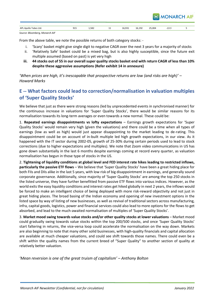

| APL<br>Anollo<br>Tubes Ltd.<br>. | $^{\circ}$<br>ر در<br>$\sim$ | FO <sub>3</sub><br>1,384 | <b>++</b> | : a2·<br>16,931 | $\sim$<br>10,194<br>$\sim$ $\sim$ $\sim$ | 25,004<br>$\sim$ $-$<br>- - | ر.رید<br>$\sim$ $\sim$ |  |
|----------------------------------|------------------------------|--------------------------|-----------|-----------------|------------------------------------------|-----------------------------|------------------------|--|
|                                  |                              |                          |           |                 |                                          |                             |                        |  |

*Source: Bloomberg, Monarch AIF*

From the above table, we note the possible returns of both category stocks: -

- i. 'Scary' basket might give single digit to negative CAGR over the next 3 years for a majority of stocks
- ii. 'Relatively Safe' basket could be a mixed bag, but is also highly susceptible, since the future exit multiple assumed (based on past) is yet very high
- **iii. 44 stocks out of 55 in our overall super quality stocks basket end with return CAGR of less than 10% despite these aggressive assumptions (Refer exhibit 14 in annexure)**

*'When prices are high, it's inescapable that prospective returns are low (and risks are high)' – Howard Marks*

# **E -- What factors could lead to correction/normalisation in valuation multiples of 'Super Quality Stocks'**

We believe that just as there were strong reasons (led by unprecedented events in synchronised manner) for the continuous increase in valuations for 'Super Quality Stocks', there would be similar reasons for its normalisation towards its long-term averages or even towards a new normal. These could be:

1. **Repeated earnings disappointments vs lofty expectations** – Earnings growth expectations for 'Super Quality Stocks' would remain very high (given the valuations) and there could be a time when all types of earnings (low as well as high) would just appear disappointing to the market leading to de-rating. This disappointment could be on account of in-built multiple led high growth expectations, in our view. As it happened with the IT sector during 2002-05, growth of 25-30% during certain periods used to lead to stock corrections (due to higher expectations and multiples). We note that Zoom video communications in US has gone down substantially in the last 6 months despite earnings coming at record every quarter, as valuation normalisation has begun in those type of stocks in the US.

2. **Tightening of liquidity conditions at global level and FED interest rate hikes leading to restricted inflows, particularly the passive ETF flows** – We believe that 'Super Quality Stocks' have been a great hiding place for both FIIs and DIIs alike in the last 5 years, with low risk of big disappointment in earnings, and generally sound corporate governance. Additionally, since majority of 'Super Quality Stocks' are among the top 250 stocks in the listed universe, they have further benefitted from passive ETF flows into various indices. However, as the world exits the easy liquidity conditions and interest rates get hiked globally in next 2 years, the inflows would be forced to make an intelligent choice of being deployed with more risk-reward objectivity and not just in great hiding places. The broad basing of the Indian economy and opening of new investment options in the listed space by way of listing of new businesses, as well as revival of traditional sectors across manufacturing, infra, capital goods, logistics, power and financial services could also lead to more options for the flows to get absorbed, and lead to the much-awaited normalisation of multiples of 'Super Quality Stocks'.

3. **Market mood swing towards value stocks and/or other quality stocks at lower valuations** – Market mood could gradually swing towards value stocks within the top 200/500 stocks, and once 'Super Quality Stocks' start faltering in returns, the vice-versa loop could accelerate the normalisation on the way down. Markets are also beginning to note that many other solid businesses, with high-quality financials and capital allocation are available at much cheaper valuations, and could see shift towards those names. There could even be a shift within the quality names from the current breed of "Super Quality" to another section of quality at relatively better valuation.

*'Mean reversion is one of the great truism of capitalism' – Anthony Bolton*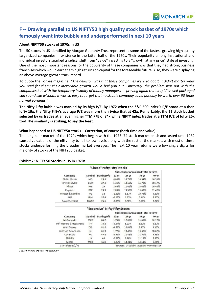# **F -- Drawing parallel to US NIFTY50 high quality stock basket of 1970s which famously went into bubble and underperformed in next 10 years**

#### **About NIFTY50 stocks of 1970s in US**

The 50 stocks in US identified by Morgan Guaranty Trust represented some of the fastest-growing high quality large-sized companies in existence in the latter half of the 1960s. Their popularity among institutional and individual investors sparked a radical shift from "value" investing to a "growth at any price" style of investing. One of the most important reasons for the popularity of these companies was that they had strong business franchises which would earn them high returns on capital for the foreseeable future. Also, they were displaying an above-average growth track record.

To quote the Forbes magazine: *"The delusion was that these companies were so good, it didn't matter what you paid for them; their inexorable growth would bail you out. Obviously, the problem was not with the companies but with the temporary insanity of money managers — proving again that stupidity well-packaged can sound like wisdom. It was so easy to forget that no sizable company could possibly be worth over 50 times normal earnings."*

**The Nifty Fifty bubble was marked by its high P/E. By 1972 when the S&P 500 Index's P/E stood at a then lofty 19x, the Nifty Fifty's average P/E was more than twice that at 42x. Remarkably, the 55 stock bucket selected by us trades at an even higher TTM P/E of 84x while NIFTY index trades at a TTM P/E of lofty 25x too! The similarity is striking, to say the least.**

#### **What happened to US NIFTY50 stocks – Correction, of course (both time and value)**

The long bear market of the 1970s which began with the 1973–[74 stock market crash](https://en.wikipedia.org/wiki/1973%E2%80%9374_stock_market_crash) and lasted until 1982 caused valuations of the nifty fifty to fall to low levels along with the rest of the market, with most of these stocks underperforming the broader market averages. The next 10 year returns were low single digits for majority of stocks of the NIFTY50 basket.

"Cheap" Nifty Fifty Stocks

|                            |             |                                |           |         | <b>Subsequent Annualized Total Returns</b> |                           |
|----------------------------|-------------|--------------------------------|-----------|---------|--------------------------------------------|---------------------------|
| Company                    | Symbol      | <b>Starting P/E</b>            | $10 - yr$ | $20-YT$ | $30 - yr$                                  | 40-yr                     |
| Philip Morris              | MO          | 25.9                           | 6.85%     | 18.71%  | 16.94%                                     | 16.53%                    |
| Bristol-Myers              | <b>BMY</b>  | 27.6                           | 5.35%     | 13.10%  | 11.76%                                     | 10.17%                    |
| Pfizer                     | PFE         | 29                             | 2.63%     | 11.41%  | 14.45%                                     | 10.40%                    |
| Pepsico                    | PEP         | 29.3                           | 2.83%     | 13.55%  | 13.63%                                     | 11.42%                    |
| Procter & Gamble           | PG          | 32                             | $-1.59%$  | 8.57%   | 10.76%                                     | 9.50%                     |
| <b>IBM</b>                 | <b>IBM</b>  | 37.4                           | $-2.53%$  | 1.95%   | 6.14%                                      | 7.20%                     |
| Dow Chemical               | <b>DWDP</b> | 25.5                           | $-0.85%$  | 8.50%   | 8.74%                                      | 7.22%                     |
|                            |             | "Expensive" Nifty Fifty Stocks |           |         |                                            |                           |
|                            |             |                                |           |         | <b>Subsequent Annualized Total Returns</b> |                           |
| Company                    | Symbol      | <b>Starting P/E</b>            | $10-yr$   | $20-yr$ | $30 - yr$                                  | 40-уг                     |
| McDonald's                 | MCD         | 85.7                           | 1.75%     | 12.06%  | 11.53%                                     |                           |
| Int'l Flavors & Fragrances | IFF         | 75.8                           | $-5.24%$  | 6.93%   | 5.50%                                      | 5.87%                     |
| Walt Disney                | DIS         | 81.6                           | $-3.78%$  | 10.81%  | 9.40%                                      | 9.12%                     |
| Johnson & Johnson          | <b>JNJ</b>  | 61.9                           | 1.72%     | 10.48%  | 13.38%                                     |                           |
| Coca Cola                  | KO          | 47.6                           | $-6.93%$  | 11.83%  | 11.52%                                     | 9.98%                     |
| Eli Lilly                  | <b>LLY</b>  | 46                             | $-0.72%$  | 8.26%   | 11.17%                                     | 12.17%<br>10.62%<br>7.99% |

#### **Exhibit 7: NIFTY 50 Stocks in US in 1970s**

*Source: Media articles, Monarch AIF*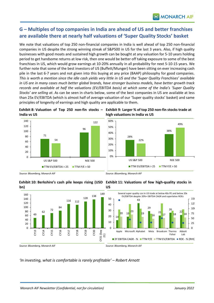# **G – Multiples of top companies in India are ahead of US and better franchises are available there at nearly half valuations of 'Super Quality Stocks' basket**

We note that valuations of top 250 non-financial companies in India is well ahead of top 250 non-financial companies in US despite the strong winning streak of S&P500 in US for the last 3 years. Also, if high quality businesses with good moats and sustained high growth can be bought at any valuation for 5-10 years holding period to get handsome returns at low risk, then one would be better off taking exposure to some of the best franchises in US, which would grow earnings at 10-20% annually in all probability for next 5-10-15 years. We further note that some of the best investors of US (Buffett/Munger) have been sitting on ever increasing cash pile in the last 6-7 years and not given into this buying at any price (BAAP) philosophy for good companies. *This is worth a mention since the idle cash yields very little in US and the 'Super Quality Franchises' available in US are in many cases much better global brands, have stronger business models, have better growth track records and available at half the valuations (EV/EBITDA basis) at which some of the India's 'Super Quality Stocks' are selling at*. As can be seen in charts below, some of the best companies in US are available at less than 25x EV/EBITDA (which is almost half of average valuation of our 'Super quality stocks' basket) and same principles of longevity of earnings and high quality are applicable to them.

**Exhibit 8: Valuation of Top 250 non-fin stocks – Exhibit 9: Larger % of top 250 non-fin stocks trade at India vs US high valuations in India vs US**









*'In investing, what is comfortable is rarely profitable' – Robert Arnott*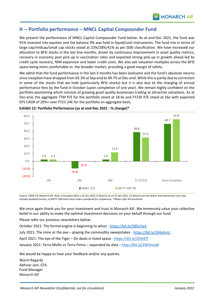## **H -- Portfolio performance – MNCL Capital Compounder Fund**

We present the performance of MNCL Capital Compounder Fund below. As at end-Dec 2021, the fund was 91% invested into equities and the balance 9% was held in liquid/cash instruments. The fund mix in terms of large cap/midcap/small cap stocks stood at 23%/28%/41% as per SEBI classification. We have increased our allocation to BFSI stocks in the last few months, driven by continuous improvement in asset quality metrics, recovery in economy post pick-up in vaccination rates and expected strong pick-up in growth ahead led by credit cycle recovery, NIM expansion and lower credit costs. We also see valuation multiples across the BFSI space being more comfortable vs. the broader market, providing a good margin of safety.

We admit that the fund performance in the last 3 months has been lacklustre and the fund's absolute returns since inception have dropped from 65.3% at Sep-end to 49.7% at Dec-end. While this is partly due to correction in some of the stocks that we hold (particularly BFSI stocks) but it is also due to the charging of annual performance fees by the fund in October (upon completion of one year). We remain highly confident on the portfolio positioning which consists of growing good quality businesses trading at attractive valuations. As at Dec-end, the aggregate TTM P/E for the portfolio stood at 18.4x and FY23E P/E stood at 16x with expected EPS CAGR of 20%+ over FY21-24E for the portfolio on aggregate basis.



**Exhibit 12: Portfolio Performance (as at end-Dec 2021 - % change)\***

*Source: CAMS FA, Monarch AIF, Note: i) Inception date is 23 Oct 2020, ii) Returns as on 31 Dec 2021, iii) Returns are net of fees and transaction costs and includes dividend income, iv) NIFTY 500 total return index considered for comparison, \*Please refer the disclaimer*

We once again thank you for your investment and trust in Monarch AIF. We immensely value your collective belief in our ability to make the optimal investment decisions on your behalf through our fund.

Please refer our previous newsletters below:

October 2021: The formal engine is beginning to whizz - <https://bit.ly/3B0nHyA>

July 2021: The mine or the axe – playing the commodity sweepstakes - <https://bit.ly/3h6qheU>

April 2021: The eye of the Tiger – On deals in listed space - <https://bit.ly/2OihElT>

January 2021: Terra Mollis vs Terra Firma – separated by data – <http://bit.ly/2WVmzd4>

We would be happy to hear your feedback and/or any queries.

Warm Regards Abhisar Jain, CFA Fund Manager Monarch AIF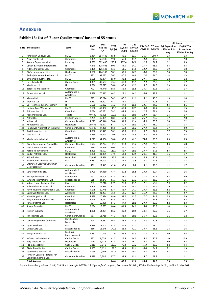## **Annexure**

#### **Exhibit 13: List of 'Super Quality stocks' basket of 55 stocks**

|                |                                                 |                                          |                    |                       |                      |                      |                                  |              |              |                                                                | (X) times                              |
|----------------|-------------------------------------------------|------------------------------------------|--------------------|-----------------------|----------------------|----------------------|----------------------------------|--------------|--------------|----------------------------------------------------------------|----------------------------------------|
|                | S.No Stock Name                                 | Sector                                   | <b>CMP</b><br>(Rs) | Mkt<br>Cap (Rs<br>Cr) | <b>TTM</b><br>P/E(x) | <b>TTM</b><br>DA (x) | 7 Yr<br>EV/EBIT EBITDA<br>CAGR % |              |              | 7 Yr PAT 7 Yr Avg P/E Expansion<br>CAGR % ROCE % - TTM vs 7 Yr | <b>EV/EBITDA</b><br><b>Expansion -</b> |
| 1              | Hindustan Unilever Ltd.                         | <b>FMCG</b>                              | 2,364              | 554,445               | 65.9                 | 45.1                 | 13.7                             | 11.5         | 104.4        | Avg<br>1.3                                                     | TTM vs 7 Yr Avg<br>1.3                 |
| $\overline{2}$ | Asian Paints Ltd.                               | Chemicals                                | 3,391              | 324,396               | 99.0                 | 65.0                 | 13.5                             | 14.0         | 39.3         | 1.9                                                            | 2.0                                    |
| 3              | Avenue Supermarts Ltd.                          | Retailing                                | 4,689              | 302,496               | 220.2                | 137.4                | 26.2                             | 31.5         | 21.7         | 2.2                                                            | 3.3                                    |
| 4              | Larsen & Toubro Infotech Ltd.                   | IT                                       | 7,349              | 128,406               | 60.8                 | 44.5                 | 14.7                             | 15.7         | 45.4         | 3.4                                                            | 3.3                                    |
| 5              | Pidilite Industries Ltd.                        | Chemicals                                | 2,465              | 125,142               | 93.3                 | 61.6                 | 14.0                             | 13.9         | 36.5         | 1.9                                                            | 1.8                                    |
| 6              | Divi's Laboratories Ltd.                        | Healthcare                               | 4,680              | 124,189               | 58.1                 | 39.6                 | 16.0                             | 14.4         | 29.3         | 2.0                                                            | 2.0                                    |
| $\overline{7}$ | Godrej Consumer Products Ltd.                   | <b>FMCG</b>                              | 972                | 99,032                | 56.3                 | 40.0                 | 10.8                             | 11.4         | 21.0         | 1.4                                                            | 1.3                                    |
| 8              | Britannia Industries Ltd.                       | <b>FMCG</b>                              | 3,605              | 86,874                | 55.0                 | 38.2                 | 21.9                             | 24.6         | 52.0         | 1.2                                                            | 1.2                                    |
| 9              | Havells India Ltd.                              | Capital Goods                            | 1,399              | 87,507                | 73.4                 | 47.8                 | 11.5                             | 12.9         | 26.8         | 1.7                                                            | 1.7                                    |
| 10             | Mindtree Ltd.                                   | IT                                       | 4,786              | 78,777                | 56.8                 | 40.3                 | 15.3                             | 13.7         | 31.5         | 2.9                                                            | 3.3                                    |
| 11             | Berger Paints India Ltd.                        | Chemicals                                | 772                | 74,940                | 88.8                 | 55.4                 | 15.6                             | 16.5         | 29.5         | 1.6                                                            | 1.7                                    |
| 12             | Eicher Motors Ltd.                              | Automobile &<br>Ancillaries              | 2,588              | 70,812                | 44.3                 | 29.1                 | 14.0                             | 14.0         | 38.9         | 1.1                                                            | 1.1                                    |
| 13             | Marico Ltd.                                     | <b>FMCG</b>                              | 515                | 66,214                | 54.3                 | 40.2                 | 11.6                             | 13.1         | 43.6         | 1.3                                                            | 1.4                                    |
| 14             | Mphasis Ltd.                                    | IT                                       | 3,412              | 63,691                | 48.1                 | 32.5                 | 22.7                             | 21.7         | 20.8         | 3.1                                                            | 3.3                                    |
| 15             | L&T Technology Services Ltd.*                   | IT                                       | 5,600              | 59,062                | 71.2                 | 47.4                 | 15.9                             | 13.5         | 34.3         | 3.4                                                            | 4.1                                    |
| 16             | Jubilant FoodWorks Ltd.                         | <b>FMCG</b>                              | 3,606              | 47,382                | 115.6                | 45.3                 | 17.5                             | 10.0         | 32.4         | 1.4                                                            | 1.5                                    |
| 17             | PI Industries Ltd.                              | Chemicals                                | 3,034              | 46.031                | 58.3                 | 44.5                 | 19.6                             | 21.5         | 29.4         | 1.9                                                            | 2.0                                    |
| 18             | Page Industries Ltd.                            | Textile                                  | 40.430             | 45,095                | 102.3                | 68.1                 | 10.9                             | 12.0         | 61.7         | 1.6                                                            | 1.7                                    |
| 19             | Astral Ltd.                                     | <b>Plastic Products</b>                  | 2,299              | 45,901                | 88.3                 | 58.3                 | 22.6                             | 26.7         | 23.3         | 1.7                                                            | 2.0<br>2.2                             |
| 20<br>21       | Voltas Ltd.<br>Abbott India Ltd.                | <b>Consumer Durables</b><br>Healthcare   | 1,219<br>19,472    | 40,346<br>41,377      | 58.8<br>57.7         | 51.8<br>40.7         | 13.4<br>19.3                     | 14.3<br>19.5 | 20.3<br>38.0 | 2.0<br>1.6                                                     | 1.7                                    |
| 22             | Honeywell Automation India Ltd.                 | <b>Consumer Durables</b>                 | 42,148             | 37,265                | 86.5                 | 66.8                 | 26.2                             | 27.0         | 29.4         | 1.7                                                            | 2.0                                    |
| 23             | Aarti Industries Ltd.                           | Chemicals                                | 1,006              | 36,475                | 56.1                 | 32.8                 | 13.6                             | 19.7         | 17.7         | 2.7                                                            | 2.5                                    |
| 24             | Tata Elxsi Ltd.                                 | IT                                       | 5,868              | 36,543                | 79.6                 | 56.2                 | 24.5                             | 26.2         | 53.3         | 3.2                                                            | 3.5                                    |
| 25             | Minda Industries Ltd.                           | Automobile &<br>Ancillaries              | 1,213              | 34,996                | 90.8                 | 38.6                 | 42.9                             | 75.6         | 18.8         | 3.5                                                            | 3.5                                    |
| 26             | Dixon Technologies (India) Ltd.                 | <b>Consumer Durables</b>                 | 5,524              | 32,724                | 175.3                | 96.8                 | 41.7                             | 42.4         | 29.8         | 3.3                                                            | 5.8                                    |
| 27             | Kansai Nerolac Paints Ltd.                      | Chemicals                                | 590                | 31,826                | 60.4                 | 36.1                 | 13.0                             | 14.1         | 23.4         | $1.4\,$                                                        | 1.3                                    |
| 28             | Relaxo Footwears Ltd.                           | <b>FMCG</b>                              | 1,309              | 32,591                | 111.7                | 65.7                 | 19.0                             | 23.7         | 27.8         | 2.4                                                            | 2.5                                    |
| 29             | Dr. Lal Pathlabs Ltd.                           | Healthcare                               | 3,808              | 31,859                | 77.5                 | 53.0                 | 17.8                             | 20.5         | 41.7         | 1.6                                                            | 1.7                                    |
| 30             | 3M India Ltd.                                   | Diversified                              | 25,094             | 28,538                | 127.3                | 84.1                 | 12.8                             | 20.9         | 30.8         | 1.7                                                            | 1.9                                    |
| 31             | Hatsun Agro Product Ltd.                        | <b>FMCG</b>                              | 1,262              | 27,193                | 102.7                | 35.7                 | 23.5                             | 17.1         | 17.5         | 1.3                                                            | 1.7                                    |
| 32             | Crompton Greaves Consumer<br>Electricals Ltd.*  | <b>Consumer Durables</b>                 | 439                | 27,445                | 42.0                 | 35.3                 | 9.6                              | 18.1         | 59.6         | 1.2                                                            | 1.7                                    |
| 33             | Schaeffler India Ltd.                           | Automobile &<br>Ancillaries              | 8,790              | 27,480                | 47.4                 | 29.2                 | 16.5                             | 13.2         | 22.7         | 1.5                                                            | 1.6                                    |
| 34             | APL Apollo Tubes Ltd.                           | Iron & Steel                             | 992                | 25,004                | 41.8                 | 28.1                 | 22.4                             | 31.8         | 22.1         | 2.4                                                            | 2.9                                    |
| 35             | Syngene International Ltd.                      | Miscellaneous                            | 619                | 24,841                | 61.1                 | 35.1                 | 17.3                             | 16.1         | 18.2         | 1.7                                                            | 1.5                                    |
| 36             | Indian Energy Exchange Ltd.                     | Power                                    | 253                | 22,718                | 87.9                 | 70.8                 | 11.9                             | 12.1         | 68.0         | 2.9                                                            | 3.2                                    |
| 37             | Solar Industries India Ltd.                     | Chemicals                                | 2,406              | 21,918                | 62.2                 | 36.8                 | 14.0                             | 11.3         | 22.6         | 1.9                                                            | 1.8                                    |
| 38             | Navin Fluorine International Ltd.               | Chemicals                                | 4,175              | 20,745                | 83.4                 | 61.7                 | 24.7                             | 23.3         | 21.1         | 4.2                                                            | 4.1                                    |
| 39             | Grindwell Norton Ltd.                           | Abrasives                                | 1,865              | 21,207                | 75.5                 | 52.5                 | 12.4                             | 15.9         | 24.0         | 2.3                                                            | 2.7                                    |
| 40             | Vinati Organics Ltd.                            | Chemicals                                | 1,989              | 20,384                | 68.6                 | 54.0                 | 12.7                             | 17.7         | 34.3         | 2.5                                                            | 2.9                                    |
| 41             | Alkyl Amines Chemicals Ltd.                     | Chemicals                                | 3,526              | 18,117                | 58.5                 | 41.1                 | 26.1                             | 31.6         | 31.8         | 3.8                                                            | 4.2                                    |
| 42             | Natco Pharma Ltd.                               | Healthcare                               | 904                | 16,486                | 64.3                 | 47.9                 | 19.0                             | 24.0         | 23.3         | $2.2\,$                                                        | 2.3                                    |
| 43<br>44       | Sheela Foam Ltd.<br>Timken India Ltd.           | <b>FMCG</b><br>Automobile &              | 3,234<br>1,988     | 15,735<br>14,954      | 60.4<br>66.2         | 41.4<br>39.9         | 24.8<br>19.8                     | 36.0<br>18.1 | 30.9<br>22.9 | 1.4<br>1.6                                                     | 1.9<br>1.7                             |
|                |                                                 | Ancillaries                              |                    |                       |                      |                      |                                  |              |              |                                                                |                                        |
| 45             | TTK Prestige Ltd.                               | <b>Consumer Durables</b><br>Construction | 987                | 13,719                | 44.3                 | 32.4                 | 10.0                             | 11.4         | 22.8         | $1.1\,$                                                        | 1.2                                    |
| 46             | Century Plyboards (India) Ltd.                  | Materials                                | 594                | 13,257                | 46.8                 | 28.6                 | 11.3                             | 17.8         | 20.8         | 1.8                                                            | 1.8                                    |
| 47             | Zydus Wellness Ltd.                             | <b>FMCG</b>                              | 1,888              | 12,005                | 41.8                 | 36.6                 | 21.2                             | 11.2         | 18.0         | $1.2$                                                          | 1.2                                    |
| 48<br>49       | Quess Corp Ltd.<br>Saregama India Ltd.          | Miscellaneous<br>Media &                 | 850<br>5,282       | 12,646<br>10,125      | 170.1<br>77.9        | 28.8<br>64.9         | 41.7<br>33.3                     | 18.7<br>31.2 | 18.6<br>20.2 | 1.6<br>3.0                                                     | 1.6<br>2.5                             |
|                |                                                 | Entertainment                            |                    |                       |                      |                      |                                  |              |              |                                                                |                                        |
| 50             | V-Guard Industries Ltd.                         | Capital Goods                            | 222                | 9,553                 | 41.3                 | 25.5                 | 14.3                             | 16.3         | 30.3         | 1.0                                                            | 0.9                                    |
| 51             | Poly Medicure Ltd.                              | Healthcare                               | 970                | 9,179                 | 62.8                 | 42.7                 | 16.2                             | 19.8         | 24.9         | 2.0                                                            | 2.4                                    |
| 52             | HLE Glascoat Ltd.<br>GMM Pfaudler Ltd.          | Capital Goods<br>Capital Goods           | 5,811              | 7,941                 | 127.5<br>188.6       | 79.3<br>34.4         | 37.2<br>22.6                     | 45.8<br>24.0 | 29.3<br>24.7 | 8.2                                                            | 9.4<br>1.9                             |
| 53<br>54       | TeamLease Services Ltd.                         | Miscellaneous                            | 4,905<br>4,169     | 7,121<br>7,109        | 340.9                | 61.8                 | 29.1                             | 24.3         | 18.1         | $6.2$<br>5.7                                                   | 1.3                                    |
|                | Johnson Controls - Hitachi Air                  |                                          |                    |                       |                      |                      |                                  |              |              |                                                                |                                        |
| 55             | Conditioning India Ltd.<br><b>Total Average</b> | <b>Consumer Durables</b>                 | 1,979              | 5,380                 | 97.7<br>84.6         | 34.9<br>48.8         | 13.1<br>19.2                     | 19.7<br>20.8 | 19.7<br>31.3 | $1.2$<br>2.3                                                   | 1.1<br>2.3                             |
|                |                                                 |                                          |                    |                       |                      |                      |                                  |              |              |                                                                |                                        |

*Source: Bloomberg, Monarch AIF, \*CAGR is 6 years for L&T Tech & 5 years for Crompton, 7Yr data is FY14-21, TTM is 12M ending Sep'21, CMP is 31 Dec 2021*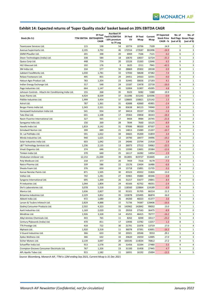

## **Exhibit 14: Expected returns of 'Super Quality stocks' basket based on 20% EBITDA CAGR**

| Stock (Rs Cr)                                          |              | 3Y Fwd<br>TTM EBITDA EBITDA@20%<br><b>CAGR</b> | <b>Ascribed 3Y</b><br><b>Fwd EV/EBITDA</b><br>- 10% premium<br>to 7Y avg | 3Y Fwd<br>EV    | 3Y Fwd<br>Mcap | Current<br>Mcap | 3Y Expected<br>CAGR - % | No. of<br>(out of 9) | No. of<br>Stock Price Red Flags Green Flags<br>(out of 9) |
|--------------------------------------------------------|--------------|------------------------------------------------|--------------------------------------------------------------------------|-----------------|----------------|-----------------|-------------------------|----------------------|-----------------------------------------------------------|
| TeamLease Services Ltd.                                | 115          | 198                                            | 54                                                                       | 10774           | 10796          | 7109            | 14.9                    | 5                    | 2                                                         |
| Avenue Supermarts Ltd.                                 | 2,195        | 3,792                                          | 46                                                                       | 172554          | 173587         | 302496          | $-16.9$                 | 6                    | 3                                                         |
| <b>GMM Pfaudler Ltd.</b>                               | 201          | 348                                            | 20                                                                       | 6969            | 7166           | 7121            | 0.2                     | 6                    | $\overline{2}$                                            |
| Dixon Technologies (India) Ltd.                        | 338          | 584                                            | 18                                                                       | 10670           | 10657          | 32724           | $-31.2$                 | 5                    | 3                                                         |
| Quess Corp Ltd.                                        | 448          | 774                                            | 20                                                                       | 15526           | 15263          | 12646           | 6.5                     | 6                    | $\overline{2}$                                            |
| HLE Glascoat Ltd.                                      | 102          | 176                                            | 9                                                                        | 1625            | 1511           | 7941            | $-42.5$                 | 5                    | 3                                                         |
| 3M India Ltd.                                          | 334          | 577                                            | 50                                                                       | 28869           | 29302          | 28538           | 0.9                     | 8                    | $\mathbf 1$                                               |
| Jubilant FoodWorks Ltd.                                | 1,030        | 1,781                                          | 33                                                                       | 57930           | 58648          | 47382           | 7.4                     | $\overline{2}$       | 3                                                         |
| Relaxo Footwears Ltd.                                  | 495          | 855                                            | 29                                                                       | 24451           | 24563          | 32591           | $-9.0$                  | 6                    | 3                                                         |
| Hatsun Agro Product Ltd.                               | 783          | 1,354                                          | 23                                                                       | 31445           | 30656          | 27193           | 4.1                     | $\overline{4}$       | 1                                                         |
| Indian Energy Exchange Ltd.                            | 317          | 548                                            | 24                                                                       | 13187           | 13478          | 22718           | $-16.0$                 | 6                    | 3                                                         |
| Page Industries Ltd.                                   | 664          | 1,147                                          | 45                                                                       | 52004           | 51907          | 45095           | 4.8                     | $\overline{7}$       | 1                                                         |
| Johnson Controls - Hitachi Air Conditioning India Ltd. | 155          | 268                                            | 35                                                                       | 9323            | 9282           | 5380            | 19.9                    | 5                    | $\overline{2}$                                            |
| Asian Paints Ltd.                                      | 4,924        | 8,509                                          | 37                                                                       | 311096          | 315243         | 324396          | $-0.9$                  | 6                    | $\mathbf{1}$                                              |
| Pidilite Industries Ltd.                               | 1,999        | 3,454                                          | 37                                                                       | 128805          | 130821         | 125142          | 1.5                     | 8                    | $\mathbf 1$                                               |
| Astral Ltd.                                            | 787          | 1,361                                          | 31                                                                       | 42688           | 42660          | 45901           | $-2.4$                  | 5                    | 3                                                         |
| Berger Paints India Ltd.                               | 1,343        | 2,321                                          | 36                                                                       | 83638           | 84115          | 74940           | 3.9                     | 6                    | 1                                                         |
| Honeywell Automation India Ltd.                        | 541          | 934                                            | 37                                                                       | 34414           | 35537          | 37265           | $-1.6$                  | 6                    | 2                                                         |
| Tata Elxsi Ltd.                                        | 641          | 1,108                                          | 17                                                                       | 19363           | 19858          | 36543           | $-18.4$                 | 6                    | 3                                                         |
| Navin Fluorine International Ltd.                      | 327          | 565                                            | 17                                                                       | 9404            | 9984           | 20745           | $-21.6$                 | 6                    | $\overline{2}$                                            |
| Saregama India Ltd.                                    | 156          | 269                                            | 28                                                                       | 7644            | 7660           | 10125           | $-8.9$                  | 5                    | 4                                                         |
| Havells India Ltd.                                     | 1,819        | 3,142                                          | 31                                                                       | 97696           | 98320          | 87507           | 4.0                     | 6                    | 3                                                         |
| Grindwell Norton Ltd.                                  | 399          | 689                                            | 21                                                                       | 14813           | 15089          | 21207           | $-10.7$                 | 6                    | 3                                                         |
| Dr. Lal Pathlabs Ltd.                                  | 591          | 1,022                                          | 34                                                                       | 34665           | 35200          | 31859           | 3.4                     | 5                    | 3                                                         |
| Minda Industries Ltd.                                  | 940          | 1,625                                          | 12                                                                       | 19790           | 18477          | 34996           | $-19.2$                 | 6                    | $\overline{2}$                                            |
| Solar Industries India Ltd.                            | 603          | 1,042                                          | 23                                                                       | 24046           | 23794          | 21918           | 2.8                     | 6                    | $\mathbf 1$                                               |
| L&T Technology Services Ltd.                           | 1,236        | 2,135                                          | 13                                                                       | 26973           | 27512          | 59062           | $-22.5$                 | 6                    | $\overline{2}$                                            |
| Vinati Organics Ltd.                                   | 374          | 646                                            | 21                                                                       | 13390           | 13601          | 20384           | $-12.6$                 | 6                    | $\mathbf 2$                                               |
| Timken India Ltd.                                      | 370          | 640                                            | 25                                                                       | 16117           | 16282          | 14954           | 2.9                     | 5                    | 3                                                         |
| Hindustan Unilever Ltd.                                | 12,153       | 21,000                                         | 39                                                                       | 812891          | 819727         | 554445          | 13.9                    | $\overline{4}$       | $\mathbf{1}$                                              |
| Poly Medicure Ltd.                                     | 218          | 377                                            | 20                                                                       | 7459            | 7316           | 9179            | $-7.3$                  | 5                    | 3                                                         |
| Natco Pharma Ltd.                                      | 339          | 586                                            | 22                                                                       | 13176           | 13434          | 16486           | $-6.6$                  | 8                    | $\mathbf 1$                                               |
| Sheela Foam Ltd.                                       | 376          | 650                                            | 24                                                                       | 15718           | 15891          | 15735           | 0.3                     | 6                    | $\overline{2}$                                            |
| Kansai Nerolac Paints Ltd.                             | 871          | 1,505                                          | 30                                                                       | 45523           | 45932          | 31826           | 13.0                    | $\overline{7}$       | 1                                                         |
| Voltas Ltd.                                            | 742          | 1,281                                          | 27                                                                       | 33965           | 35884          | 40346           | $-3.8$                  | $\overline{7}$       | $\mathbf{1}$                                              |
| Syngene International Ltd.                             | 695          | 1,200                                          | 26                                                                       | 31217           | 31677          | 24841           | 8.4                     | 8                    | 0                                                         |
| PI Industries Ltd.                                     | 1,044        | 1,804                                          | 24                                                                       | 43166           | 42762          | 46031           | $-2.4$                  | 6                    | $\mathbf 1$                                               |
| Divi's Laboratories Ltd.                               | 3,078        | 5,318                                          | 22                                                                       | 118560          | 120864         | 124189          | $-0.9$                  | 5                    | 3                                                         |
| Marico Ltd.                                            | 1,636        | 2,827                                          | 32                                                                       | 91321           | 91705          | 66214           | 11.5                    | 6                    | $\mathbf 1$                                               |
|                                                        |              |                                                |                                                                          |                 |                |                 |                         |                      |                                                           |
| Britannia Industries Ltd.<br>Abbott India Ltd.         | 2,229        | 3,852                                          | 35                                                                       | 133878          | 135495         | 86874           | 16.0                    | 3<br>5               | $\mathbf{1}$<br>3                                         |
| Larsen & Toubro Infotech Ltd.                          | 972<br>2,829 | 1,680                                          | 26<br>15                                                                 | 44200           | 46023<br>74387 | 41377<br>128406 | 3.6<br>$-16.6$          | 5                    | 3                                                         |
| Godrej Consumer Products Ltd.                          | 2,502        | 4,888<br>4,323                                 | 33                                                                       | 71736<br>143962 | 142842         | 99032           | 13.0                    | $\overline{7}$       | $\mathbf{1}$                                              |
|                                                        |              |                                                |                                                                          |                 |                |                 |                         | $\overline{7}$       | 0                                                         |
| Aarti Industries Ltd.                                  | 1,169        | 2,020                                          | 15                                                                       | 29359           | 27543          | 36475           | $-8.9$                  |                      |                                                           |
| Mindtree Ltd.                                          | 1,926        | 3,328                                          | 14                                                                       | 45255           | 46415          | 78777           | $-16.2$                 | 5<br>5               | 3                                                         |
| Alkyl Amines Chemicals Ltd.                            | 443          | 765                                            | 11                                                                       | 8262<br>13936   | 8200           | 18117           | $-23.2$                 |                      | 4                                                         |
| Century Plyboards (India) Ltd.                         | 470          | 811                                            | 17                                                                       |                 | 13782          | 13257           | 1.3                     | 8                    | $\mathbf{1}$                                              |
| TTK Prestige Ltd.                                      | 418          | 722                                            | 30                                                                       | 21791           | 21978          | 13719           | 17.0                    | 1                    | 4                                                         |
| Mphasis Ltd.                                           | 1,920        | 3,318                                          | 11                                                                       | 36078           | 37391          | 63691           | $-16.3$                 | 5                    | 1                                                         |
| V-Guard Industries Ltd.                                | 366          | 633                                            | 32                                                                       | 20321           | 20546          | 9553            | 29.1                    | $\mathbf 1$          | 4                                                         |
| Zydus Wellness Ltd.                                    | 366          | 632                                            | 33                                                                       | 20620           | 19250          | 12005           | 17.0                    | 3                    | 3                                                         |
| Eicher Motors Ltd.                                     | 2,139        | 3,697                                          | 29                                                                       | 105545          | 114034         | 70812           | 17.2                    | 4                    | 5                                                         |
| Schaeffler India Ltd.                                  | 913          | 1,578                                          | 20                                                                       | 31456           | 32294          | 27480           | 5.5                     | 4                    | 4                                                         |
| Crompton Greaves Consumer Electricals Ltd.             | 767          | 1,326                                          | 23                                                                       | 31100           | 31458          | 27445           | 4.7                     | 5                    | $\overline{2}$                                            |
| APL Apollo Tubes Ltd.                                  | 915          | 1,582                                          | 11                                                                       | 16931           | 16192          | 25004           | $-13.5$                 | 4                    | 5                                                         |

*Source: Bloomberg, Monarch AIF, TTM is 12M ending Sep 2021, Current Mcap is 31 Dec 2021*